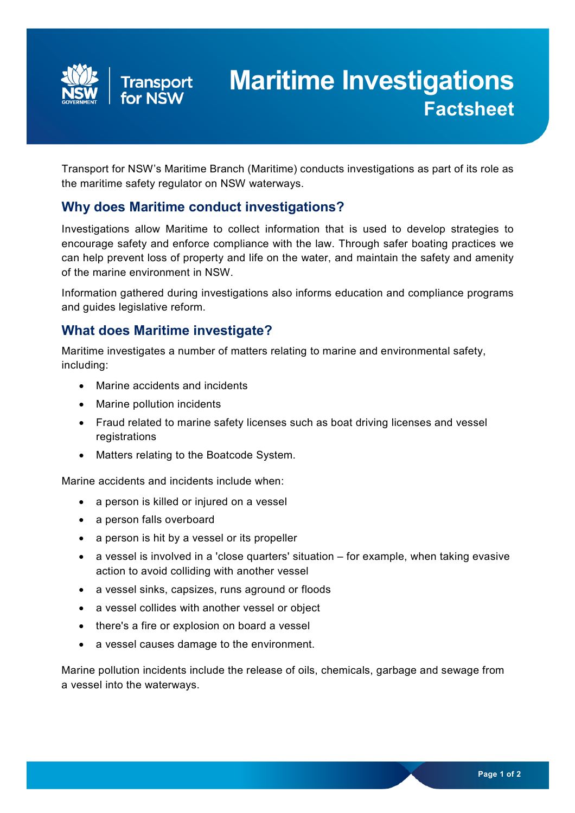

# **Maritime Investigations Factsheet**

Transport for NSW's Maritime Branch (Maritime) conducts investigations as part of its role as the maritime safety regulator on NSW waterways.

#### **Why does Maritime conduct investigations?**

Investigations allow Maritime to collect information that is used to develop strategies to encourage safety and enforce compliance with the law. Through safer boating practices we can help prevent loss of property and life on the water, and maintain the safety and amenity of the marine environment in NSW.

Information gathered during investigations also informs education and compliance programs and guides legislative reform.

## **What does Maritime investigate?**

Maritime investigates a number of matters relating to marine and environmental safety, including:

- Marine accidents and incidents
- Marine pollution incidents
- Fraud related to marine safety licenses such as boat driving licenses and vessel registrations
- Matters relating to the Boatcode System.

Marine accidents and incidents include when:

- a person is killed or injured on a vessel
- a person falls overboard
- a person is hit by a vessel or its propeller
- a vessel is involved in a 'close quarters' situation for example, when taking evasive action to avoid colliding with another vessel
- a vessel sinks, capsizes, runs aground or floods
- a vessel collides with another vessel or object
- there's a fire or explosion on board a vessel
- a vessel causes damage to the environment.

Marine pollution incidents include the release of oils, chemicals, garbage and sewage from a vessel into the waterways.